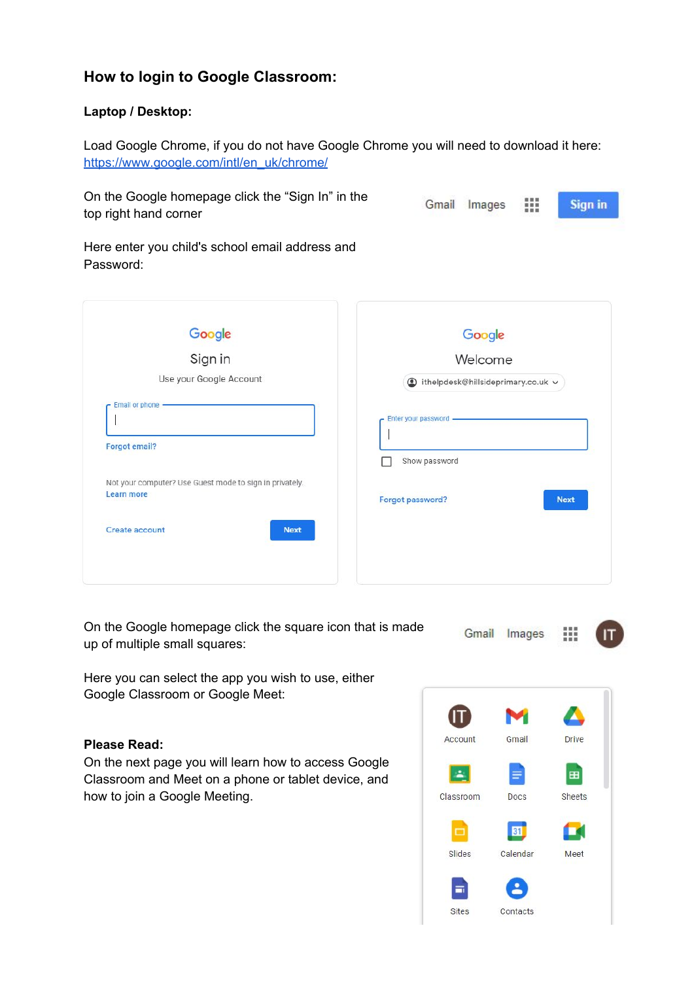# **How to login to Google Classroom:**

## **Laptop / Desktop:**

Load Google Chrome, if you do not have Google Chrome you will need to download it here: [https://www.google.com/intl/en\\_uk/chrome/](https://www.google.com/intl/en_uk/chrome/)

On the Google homepage click the "Sign In" in the top right hand corner

| Gmail | Images | 面景展<br>■ 昭 田<br>田田田 | <b>Sign in</b> |
|-------|--------|---------------------|----------------|
|-------|--------|---------------------|----------------|

Here enter you child's school email address and Password:

|                                                         | Google                            |
|---------------------------------------------------------|-----------------------------------|
| Google<br>Sign in                                       | Welcome                           |
| Use your Google Account                                 | thelpdesk@hillsideprimary.co.uk v |
| Email or phone -                                        |                                   |
|                                                         | Enter your password -             |
| <b>Forgot email?</b>                                    |                                   |
|                                                         | Show password                     |
| Not your computer? Use Guest mode to sign in privately. |                                   |
| Learn more                                              | Forgot password?<br><b>Next</b>   |
| Create account<br><b>Next</b>                           |                                   |
|                                                         |                                   |

On the Google homepage click the square icon that is made up of multiple small squares:

Gmail Images 33

Here you can select the app you wish to use, either Google Classroom or Google Meet:

# **Please Read:**

On the next page you will learn how to access Google Classroom and Meet on a phone or tablet device, and how to join a Google Meeting.

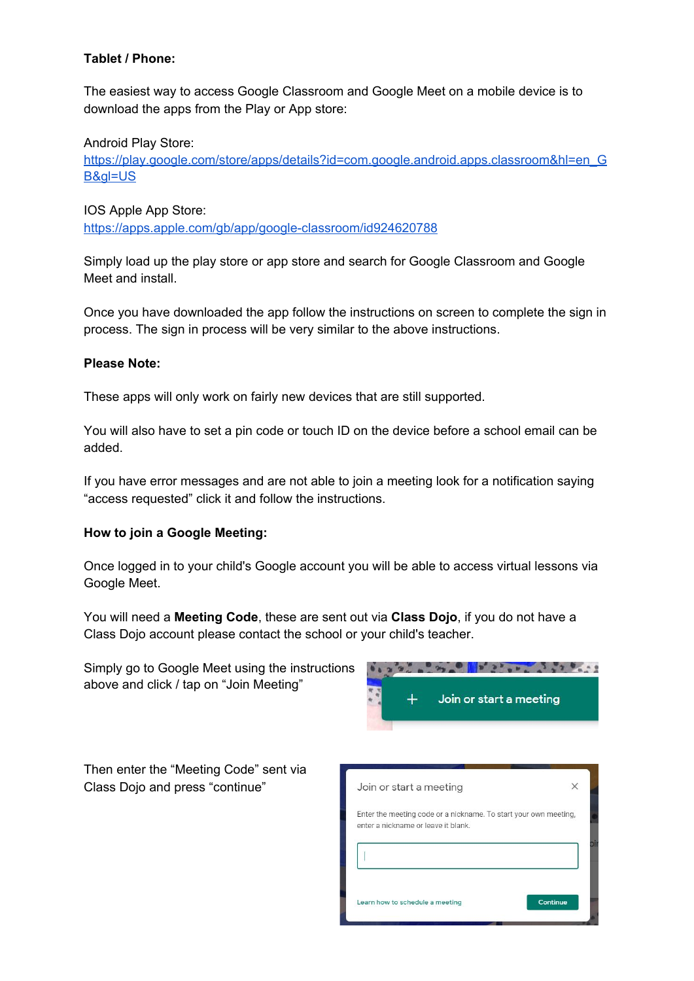## **Tablet / Phone:**

The easiest way to access Google Classroom and Google Meet on a mobile device is to download the apps from the Play or App store:

Android Play Store:

[https://play.google.com/store/apps/details?id=com.google.android.apps.classroom&hl=en\\_G](https://play.google.com/store/apps/details?id=com.google.android.apps.classroom&hl=en_GB&gl=US) [B&gl=US](https://play.google.com/store/apps/details?id=com.google.android.apps.classroom&hl=en_GB&gl=US)

IOS Apple App Store: <https://apps.apple.com/gb/app/google-classroom/id924620788>

Simply load up the play store or app store and search for Google Classroom and Google Meet and install.

Once you have downloaded the app follow the instructions on screen to complete the sign in process. The sign in process will be very similar to the above instructions.

### **Please Note:**

These apps will only work on fairly new devices that are still supported.

You will also have to set a pin code or touch ID on the device before a school email can be added.

If you have error messages and are not able to join a meeting look for a notification saying "access requested" click it and follow the instructions.

### **How to join a Google Meeting:**

Once logged in to your child's Google account you will be able to access virtual lessons via Google Meet.

You will need a **Meeting Code**, these are sent out via **Class Dojo**, if you do not have a Class Dojo account please contact the school or your child's teacher.

Simply go to Google Meet using the instructions above and click / tap on "Join Meeting"



Then enter the "Meeting Code" sent via Class Dojo and press "continue"

| Join or start a meeting                                                                                 | X |
|---------------------------------------------------------------------------------------------------------|---|
| Enter the meeting code or a nickname. To start your own meeting,<br>enter a nickname or leave it blank. |   |
|                                                                                                         |   |
|                                                                                                         |   |